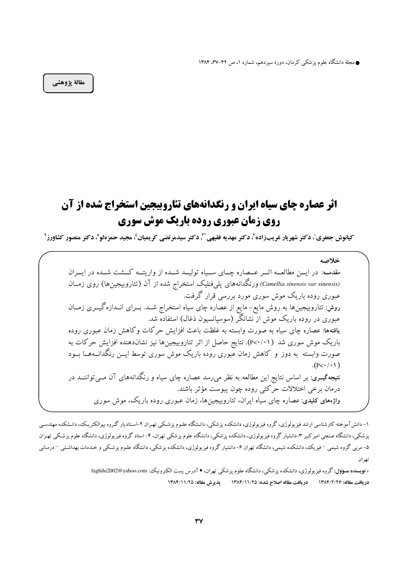● مجلهٔ دانشگاه علوم پزشکی کرمان، دورهٔ سیزدهم، شماره ۱، ص ۴۲–۳۷، ۱۳۸۴

مقالة يژوهشي

## **اثر عصاره چای سیاه ایران و رنگدانههای تئاروبیجین استخراج شده از آن روی زمان عبوری روده باریک موش سوری**

**كيانوش جعفري'، دكتر شهريار غريبزاده'، دكتر مهديه فقيهي \* ّ, دكتر سيدمرتضي كريميان'، مجيد حمزهلو'، دكتر منصور كشاورز'** 

خلاصه مقدمـه: در ايــن مطالعــه اثــر عــصاره چــاى ســياه توليــد شــده از واريتــه كــشت شــده در ايــران (Camellia sinensis var sinensis) ورنگدانههای یلی فنلیک استخراج شده از آن (تئاروبیجینها) روی زمــان عبوری روده باریک موش سوری مورد بررسی قرار گرفت. روش: تئاروبیجینها به روش مایع- مایع از عصاره چای سیاه استخراج شــد. بــرای انــدازهگیـــری زمــان عبوری در روده باریک موش از نشانگر (سوسیانسیون ذغال) استفاده شد. یافتهها: عصاره چای سیاه به صورت وابسته به غلظت باعث افزایش حرکات وکاهش زمان عبوری روده باریک موش سوری شد (P<۰/۰۱). نتایج حاصل از اثر تئاروبیجینها نیز نشاندهنده افزایش حرکات به صورت وابسته به دوز و کاهش زمان عَبوری روده باریک موش سوری توسط ایــن رنگدانـــهــا بــود  $(P<\cdot/\cdot)$ نتیجهگیــری: بر اساس نتایج این مطالعه به نظر می٫رسد عصاره چای سیاه و رنگدانههای آن مــیتواننــد در درمان برخی اختلالات حرکتی روده چون یبوست مؤثر باشند. واژههای کلیدی: عصاره چای سیاه ایران، تئاروبیجینها، زمان عبوری روده باریک، موش سوری

۱– دانش آموخته کارشناسی ارشد فیزیولوژی، گروه فیزیولوژی، دانشکده پزشکی، دانـشگاه علـوم پزشـکی تهـران ۲–اسـتادیار گـروه بیوالکتریـک، دانـشکده مهندسـی پزشکی، دانشگاه صنعتی امیرکبیر ۳–دانشیار گروه فیزیولوژی، دانشکده پزشکی استگاه علوم پزشکی تهران، ۴– استاد گروه فیزیولوژی، دانشگاه علوم پزشکی تهـران ۵- مربی گروه شیمی –فیزیک، دانشکده شیمی، دانشگاه تهران ۶- دانشیار گروه فیزیولوژی، دانشکده یز شکی اعلوم یزشکی و خـدمات بهداشـتی –درمـانی تھ ان

<sup>∗</sup> **نویسنده مسؤول:**گروه فیزیولوژی، دانشکده یزشکی، دانشگاه علوم یزشکی تهران، ● آدرس یست الکترونیک: faghihi2002@yahoo.com دريافت مقاله: ١٣٨٤/٢/٢٥ دريافت مقاله اصلاح شده: ١٣٨٤/١١/٢٥ يذيرش مقاله: ١٣٨٤/١١/٢٥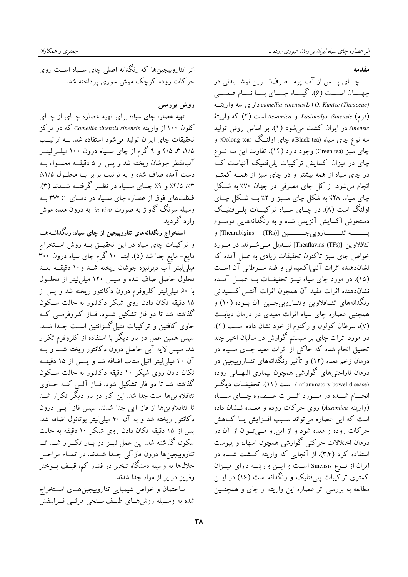مقدمه

چــای پــس از آب پرمــصرفتــرين نوشــيدني در جهـان اســـت (۶). گیـــاه چـــای بـــا نـــام علمـــی camellia sinensis(L.) O. Kuntze (Theaceae) دارای سه واریت (فرم) Lasiocalyx Sinensis و Assamica است (٢) كه واريتهٔ Sinensis در ایران کشت می شود (۱). بر اساس روش تولید سه نوع چای سیاه (Black tea)، چای اولنــگ (Oolong tea) و چای سبز (Green tea) وجود دارد (۱۴). تفاوت این سه نــوع چای در میزان اکسایش ترکیبات یلیفنلیک آنهاست کـه در چای سیاه از همه بیشتر و در چای سبز از همــه کمتــر انجام میشود. از کل چای مصرفی در جهان ۷۰٪ به شـکل چای سیاه، ۲۸٪ به شکل چای سـبز و ۲٪ بــه شــکل چــای اولنگ است (۸). در چــای ســیاه ترکیبــات پلــیفنلیــک دستخوش اکسایش آنزیمی شده و به رنگدانههایی موســوم بـــــــــه تئــــــــــاروبي جـــــــــين [(Thearubigins (TRs)] و تثافلاوین [(Theaflavins (TFs)] تبیدیل مبی شیوند. در میورد خواص چای سبز تاکنون تحقیقات زیادی به عمل آمده که نشاندهنده اثرات آنتی اکسیدانی و ضد سـرطانی آن اسـت (۱۵). در مورد چای سیاه نیــز تحقیقــات بــه عمــل آمــده نشاندهنده اثرات مفيد آن همچون اثرات آنتبى اكسيداني رنگدانههای تئــافلاوین وتئــاروبی,جــین آن بــوده (۱۰) و همچنین عصاره چای سیاه اثرات مفیدی در درمان دیابت (٧)، سرطان كولون و ركتوم از خود نشان داده است (۴). در مورد اثرات چای بر سیستم گوارش در سالیان اخیر چند تحقیق انجام شده که حاکی از اثرات مفید چــای ســیاه در درمان زخم معده (۱۲) و تأثیر رنگدانههای تئــاروبیجین در درمان ناراحتی های گوارشی همچون بیماری التهــابی روده (inflammatory bowel disease) است (١١). تحقیقــات دیگــر انجسام شــده در مــورد اثــرات عــصاره چــای ســياه (واریته Assamica) روی حرکات روده و معــده نــشان داده است که این عصاره می تواند سـبب افــزایش یــا کــاهش حرکات روده و معده شود و از این رو مـــ تــوان از آن در درمان اختلالات حرکتی گوارشی همچون اسهال و یبوست استفاده کرد (۳.۴). از آنجایی که واریته کشت شـده در ایران از نوع Sinensis است و ایــن واریتــه دارای میــزان کمتری ترکیبات یلم،فنلیک و رنگدانه است (۱۶) در ایــن مطالعه به بررسی اثر عصاره این واریته از چای و همچنــین

اثر تئاروبیجینها که رنگدانه اصلی چای سـیاه اسـت روی حرکات روده کوچک موش سوری پرداخته شد.

روش بررسی

تهیه عصاره چای سیاه: برای تهیه عصاره چـای از چـای کلون ۱۰۰ از واریته Camellia sinensis sinensis که در مرکز تحقیقات چای ایران تولید می شود استفاده شد. بــه ترتیــب ۱/۵، ۳، ۴/۵ و ۹ گرم از چای ســیاه درون ۱۰۰ میلــی|ییتــر آبِمقطر جوشان ريخته شد و يس از ۵ دقيقــه محلــول بــه دست آمده صاف شده و به ترتیب برابر بــا محلــول ۱/۵٪، ۰٫۳٪ ۲/۵٪ و ۹٪ چـــای ســـیاه در نظـــر گرفتـــه شـــدند (۳). غلظتهای فوق از عصاره چای سـیاه در دمــای C°۳۷ بــه وسیله سرنگ گاواژ به صورت in vivo به درون معده موش وارد گردید.

استخراج رنگدانههای تئاروبیجین از چای سیاه: رنگدانــههـــا و ترکیبات چای سیاه در این تحقیــق بــه روش اســتخراج مایع- مایع جدا شد (۵). ابتدا ۱۰ گرم چای سیاه درون ۳۰۰ میلیّلیتر آب دیونیزه جوشان ریخته شــد و ۱۰ دقیقــه بعــد محلول حاصل صاف شده و سیس ۱۲۰ میلی لیتر از محلــول با ۶۰ میلی لیتر کلروفرم درون دکانتور ریخته شد و پس از ۱۵ دقیقه <sup>ت</sup>کان دادن روٰی شیکر دکانتور به حالت ســکون گذاشته شد تا دو فاز تشکیل شـود. فــاز کلروفرمــی کــه حاوی کافئین و ترکیبات متیل گــزانتین اســت جــدا شــد. سیس همین عمل دو بار دیگر با استفاده از کلروفرم تکرار شد. سپس لایه آبی حاصل درون دکانتور ریخته شــد و بــه آن ۴۰ میلی لیتر اتیل استات اضافه شد و یسس از ۱۵ دقیقـه تکان دادن روی شیکر ۱۰ دقیقه دکانتور به حالت سکون گذاشته شد تا دو فاز تشکیل شود. فــاز آلــی کــه حــاوی تئافلاوین ها است جدا شد. این کار دو بار دیگر تکرار شــد تا تئافلاوینها از فاز آبی جدا شدند. سپس فاز آبسی درون دکانتور ریخته شد و به آن ۴۰ میلی لیتر بوتانول اضافه شد. یس از ۱۵ دقیقه تکان دادن روی شیکر ۱۰ دقیقه به حالت سکون گذاشته شد. این عمل نیــز دو بــار تکــرار شــد تــا تئاروبيجينها درون فازآلي جـدا شـدند. در تمـام مراحـل حلالها به وسیله دستگاه تبخیر در فشار کم، قیـف بــوخنر وفریز درایر از مواد جدا شدند.

ساختمان و خواص شیمیایی تئاروبیجین هـای اسـتخراج شده به وسـيله روشهـاي طيـفسـنجى مرئــي فــرابنفش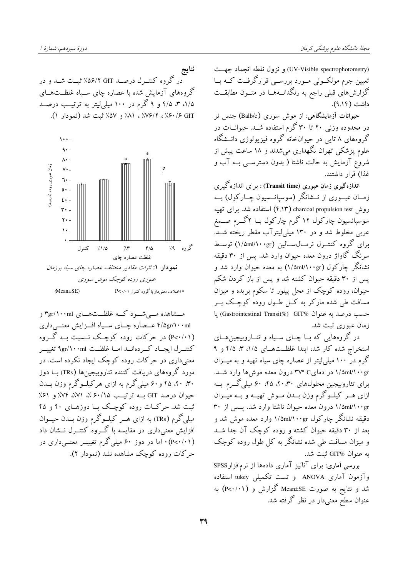(UV-Visible spectrophotometry) و نزول نقطه انجماد جهـت تعیین جرم مولکــولی مــورد بررســی قرارگرفــت کــه بــا گزارش های قبلی راجع به رنگدانــههــا در متــون مطابقــت داشت (۹،۱۴).

حیوانات آزمایشگاهی: از موش سوری (Balb/c) جنس نر در محدوده وزنی ۲۰ تا ۳۰ گرم استفاده شــد. حیوانــات در گروههای ۸ تایی در حیوانخانه گروه فیزیولوژی دانــشگاه علوم پزشکی تهران نگهداری میشدند و ۱۸ ساعت پیش از شروع آزمایش به حالت ناشتا ( بدون دسترســی بــه آب و غذا) قرار داشتند.

اندازهگیری زمان عبوری (Transit time) : برای اندازهگیری زمــان عبــوري از نـــشانگر (سوسیانــسیون چــارکول) بــه روش charcoal propulsion test (۴٬۱۳) استفاده شد. برای تهیه سوسپانسیون چارکول ۱۲ گرم چارکول بــا ۲گــرم صــمغ عربی مخلوط شد و در ۱۳۰ میلی لیتر آب مقطر ریخته شـد. برای گروه کنتـرل نرمـالسـالبن (۱/۵ml/۱۰۰gr) توسـط سرنگ گاواژ درون معده حیوان وارد شد. پس از ۳۰ دقیقه نشانگر چارکول (۱/۵ml/۱۰۰g) به معده حیوان وارد شد و پس از ۳۰ دقیقه حیوان کشته شد و پس از باز کردن شکم .<br>حیوان، روده کوچک از محل پیلور تا سکوم بریده و میزان مسافت طی شده مارکر به کــل طــول روده کوچــک بــر حسب درصد به عنوان &Gastrointestinal Transit") يا زمان عبوري ثبت شد.

در گروههایی که بــا چــای ســیاه و تئــاروبیجینهــای استخراج شده کار شد، ابتدا غلظتهای ۱/۵، ۳، ۴/۵ و ۹ گرم در ۱۰۰ میلی لیتر از عصاره چای سیاه تهیه و به میــزان ۱/۵ml/۱۰۰gr در دمای ۳۷° (درون معده موش ها وارد شـد. برای تئاروبیجین محلولهای ۴۰،۳۰، ۴۵، ۶۰ میلی گـرم بـه ازای هــر کیلــوگرم وزن بــدن مــوش تهیــه و بــه میــزان ۱/۵ml/۱۰۰gr درون معده حیوان ناشتا وارد شد. یسس از ۳۰ دقیقه نشانگر چارکول ۱/۵ml/۱۰۰gr وارد معده موش شد و بعد از ۳۰ دقیقه حیوان کشته و روده کوچک آن جدا شــد و میزان مسافت طی شده نشانگر به کل طول روده کوچک به عنوان @GIT ثبت شد.

بررسی آماری: برای آنالیز آماری دادهها از نرمافزار SPSS وآزمون آماری ANOVA و تست تکمیلی tukey استفاده شد و نتایج به صورت Mean±SE گزارش و (۱۰۱/ .p<) به ـ<br>عنوان سطح معنیدار در نظر گرفته شد.





مشاهده مبی شود کــه غلظــتهــای ۳gr/۱۰۰ml و ۴/۵gr/۱۰۰ml عــصاره چــای ســیاه افــزایش معنـــی داری (P<۰/۰۱) در حرکات روده کوچک نــسبت بــه گــروه كنتـــرل ايجــاد كـــردهانـــد امـــا غلظـــت ٩gr/١٠٠ml تغييـــر معنیداری در حرکات روده کوچک ایجاد نکرده است. در مورد گروههای دریافت کننده تئاروبیجینها (TRs) بــا دوز ۴۰، ۴۰، ۴۵ و ۶۰ میلی گرم به ازای هرکیلوگرم وزن بــدن حیوان درصد GIT بــه ترتیــب ۶۰/۱۵٪، ۷۲٪، ۷۴٪ و ۶۱٪ ثبت شد. حرکات روده کوچک بــا دوزهــای ۴۰ و ۴۵ میلی گرم (TRs) به ازای هــر کیلــوگرم وزن بــدن حیــوان افزایش معنی داری در مقایسه با گـروه کنتــرل نــشان داد (P<۰/۰۱)۰ اما در دوز ۶۰ میلی گرم تغییــر معنــیداری در حرکات روده کوچک مشاهده نشد (نمودار ۲).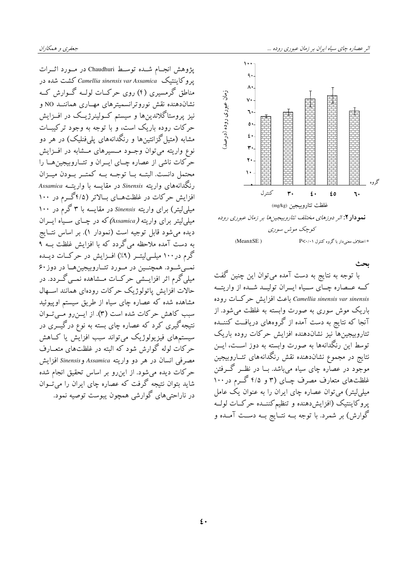پژوهش انجـام شــده توســط Chaudhuri در مــورد اثــرات یروکاینتیک Camellia sinensis var Assamica کشت شده در مناطق گرمسیری (۴) روی حرکــات لولــه گــوارش کــه نشاندهنده نقش نوروترانسمیترهای مهــاری هماننــد NO و نیز پروستاگلاندینها و سیستم کـولینرژیــک در افــزایش .<br>حرکات روده باریک است، وٰ با توجه به وجود ترکیبــات مشابه (متیل گزانتینها و رنگدانههای یلم فنلیک) در هر دو نوع واریته میتوان وجـود مــسیرهای مــشابه در افــزایش حرَّ کات ناشی از عصاره چــای ایــران و تئــاروبیجین هــا را محتمل دانست. البتــه بــا توجــه بــه كمتــر بــودن ميــزان رنگدانههای واریته Sinensis در مقایسه با واریتــه Assamica افزایش حرکات در غلظتهای بالاتر (۴/۵گرم در ۱۰۰ میلم لیتر) برای واریته Sinensis در مقایسه با ۳ گرم در ۱۰۰ میلمی لیتر برای واریته (Assamica) که در چـای سـیاه ایــران ديده مي شود قابل توجيه است (نمودار ۱). بر اساس نتــايج به دست آمده ملاحظه می گردد که با افزایش غلظت بــه ۹ گرم در ۱۰۰ میلـیلیتــر (۹٪) افــزایش در حرکــات دیــده نمبي شود. همچنيين در مورد تئباروبيجين هيا در دوز ۶۰ میلی گرم اثر افزایــشی حرکــات مــشاهده نمــی گـــردد. در حالات افزایش پاتولوژیک حرکات رودهای همانند استهال مشاهده شده که عصاره چای سیاه از طریق سیستم اوییوئید سبب كاهش حركات شده است (٣). از ايسزرو مى توان نتیجه گیری کرد که عصاره چای بسته به نوع درگیــری در سیستمهای فیزیولوژیک می تواند سبب افزایش یا کــاهش حرکات لوله گوارش شود که البته در غلظتهای متعــارف مصرفي انسان در هر دو واريته Assamica وSinensis افزايش حرکات دیده می شود. از این رو بر اساس تحقیق انجام شده شامد ىتوان نتيجه گرفت كه عصاره چاى ايران را مى تــوان در ناراحتی های گوارشی همچون پبوست توصیه نمود.



بحث با توجه به نتایج به دست آمده میتوان این چنین گفت کـه عــصاره چــاي ســياه ايــران توليــد شــده از واريتــه Camellia sinensis var sinensis باعث افزايش حركات روده باریک موش سوری به صورت وابسته به غلظت می شود. از آنجا که نتایج به دست آمده از گروههای دریافت کننــده تئاروبيجين ها نيز نشاندهنده افزايش حركات روده باريك توسط این رنگدانهها به صورت وابسته به دوز اســت، ایــن نتایج در مجموع نشاندهنده نقش رنگدانههای تئــاروبیجین موجود در عصاره چای سیاه میباشد. بــا در نظــر گـــرفتن غلظتهای متعارف مصرف چـای (۳ و ۴/۵ گــرم در ۱۰۰ میلی لیتر) می توان عصاره چای ایران را به عنوان یک عامل یروکاینتیک (افزایش دهنده و تنظیم کننــده حرکــات لولــه گوارش) بر شمرد. با توجه بــه نتــایج بــه دســت آمــده و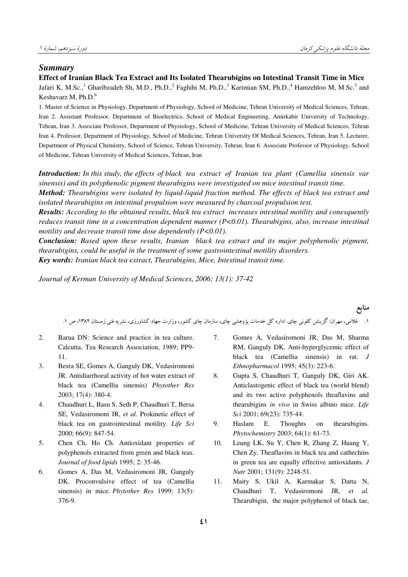منابع

## *Summary*

**Effect of Iranian Black Tea Extract and Its Isolated Thearubigins on Intestinal Transit Time in Mice**

Jafari K, M.Sc.,<sup>1</sup> Gharibzadeh Sh, M.D., Ph.D.,<sup>2</sup> Faghihi M, Ph.D.,<sup>3</sup> Karimian SM, Ph.D.,<sup>4</sup> Hamzehloo M, M.Sc.<sup>5</sup> and Keshavarz M, Ph.D.<sup>6</sup>

1. Master of Science in Physiology, Department of Physiology, School of Medicine, Tehran University of Medical Sciences, Tehran, Iran 2. Assistant Professor, Department of Bioelectrics, School of Medical Engineering, Amirkabir University of Technology, Tehran, Iran 3. Associate Professor, Department of Physiology, School of Medicine, Tehran University of Medical Sciences, Tehran Iran 4. Professor, Department of Physiology, School of Medicine, Tehran University Of Medical Sciences, Tehran, Iran 5. Lecturer, Department of Physical Chemistry, School of Science, Tehran University, Tehran, Iran 6. Associate Professor of Physiology, School of Medicine, Tehran University of Medical Sciences, Tehran, Iran

*Introduction: In this study, the effects of black tea extract of Iranian tea plant (Camellia sinensis var sinensis) and its polyphenolic pigment thearubigins were investigated on mice intestinal transit time.* 

*Method: Thearubigins were isolated by liquid-liquid fraction method. The effects of black tea extract and isolated thearubigins on intestinal propulsion were measured by charcoal propulsion test.* 

*Results: According to the obtained results, black tea extract increases intestinal motility and conesquently reduces transit time in a concentration dependent manner (P<0.01). Thearubigins, also, increase intestinal motility and decrease transit time dose dependently (P<0.01).*

*Conclusion: Based upon these results, Iranian black tea extract and its major polyphenolic pigment, thearubigins, could be useful in the treatment of some gastrointestinal motility disorders. Key words: Iranian black tea extract, Thearubigins, Mice, Intestinal transit time.* 

*Journal of Kerman University of Medical Sciences, 2006; 13(1): 37-42* 

۱. غلامی، مهران: گزینش کلونی چای. اداره کل خدمات پژوهشی چای، سازمان چای کشور، وزارت جهاد کشاورزی، نشریه فنی زمستان ۱۳۸۲، ص ۱.

- 2. Barua DN: Science and practice in tea culture. Calcutta, Tea Research Association, 1989; PP9- 11.
- 3. Besra SE, Gomes A, Ganguly DK, Vedasiromoni JR. Antidiarrhoeal activity of hot water extract of black tea (Camellia sinensis) *Phytother Res* 2003; 17(4): 380-4.
- 4. Chaudhuri L, Basu S, Seth P, Chaudhuri T, Bersa SE, Vedasiromoni JR, *et al.* Prokinetic effect of black tea on gastrointestinal motility. *Life Sci*  2000; 66(9): 847-54.
- 5. Chen Ch, Ho Ch. Antioxidant properties of polyphenols extracted from green and black teas. *Journal of food lipids* 1995; 2: 35-46.
- 6. Gomes A, Das M, Vedasiromoni JR, Ganguly DK. Proconvulsive effect of tea (Camellia sinensis) in mice. *Phytother Res* 1999; 13(5): 376-9.
- 7. Gomes A, Vedasiromoni JR, Das M, Sharma RM, Ganguly DK. Anti-hyperglycemic effect of black tea (Camellia sinensis) in rat. *J Ethnopharmacol* 1995; 45(3): 223-6.
- 8. Gupta S, Chaudhuri T, Ganguly DK, Giri AK. Anticlastogenic effect of black tea (world blend) and its two active polyphenols theaflavins and thearubigins *in vivo* in Swiss albino mice. *Life Sci* 2001; 69(23): 735-44.
- 9. Haslam E. Thoughts on thearubigins. *Phytochemistry* 2003; 64(1): 61-73.
- 10. Leung LK, Su Y, Chen R, Zhang Z, Huang Y, Chen Zy. Theaflavins in black tea and cathechins in green tea are equally effective antioxidants. *J Nutr* 2001; 131(9): 2248-51.
- 11. Maity S, Ukil A, Karmakar S, Datta N, Chaudhuri T, Vedasiromoni JR, *et al.*  Thearubigin, the major polyphenol of black tae,